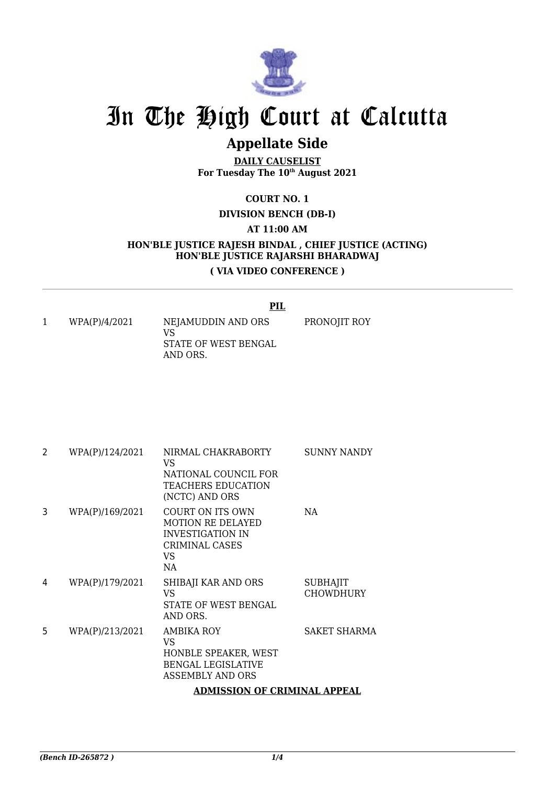

# In The High Court at Calcutta

## **Appellate Side**

**DAILY CAUSELIST For Tuesday The 10th August 2021**

### **COURT NO. 1**

#### **DIVISION BENCH (DB-I)**

#### **AT 11:00 AM**

### **HON'BLE JUSTICE RAJESH BINDAL , CHIEF JUSTICE (ACTING) HON'BLE JUSTICE RAJARSHI BHARADWAJ ( VIA VIDEO CONFERENCE )**

#### **PIL**

PRONOJIT ROY

1 WPA(P)/4/2021 NEJAMUDDIN AND ORS VS STATE OF WEST BENGAL AND ORS.

2 WPA(P)/124/2021 NIRMAL CHAKRABORTY VS NATIONAL COUNCIL FOR TEACHERS EDUCATION (NCTC) AND ORS SUNNY NANDY 3 WPA(P)/169/2021 COURT ON ITS OWN MOTION RE DELAYED INVESTIGATION IN CRIMINAL CASES VS NA NA 4 WPA(P)/179/2021 SHIBAJI KAR AND ORS VS STATE OF WEST BENGAL AND ORS. SUBHAJIT CHOWDHURY 5 WPA(P)/213/2021 AMBIKA ROY VS HONBLE SPEAKER, WEST BENGAL LEGISLATIVE ASSEMBLY AND ORS SAKET SHARMA **ADMISSION OF CRIMINAL APPEAL**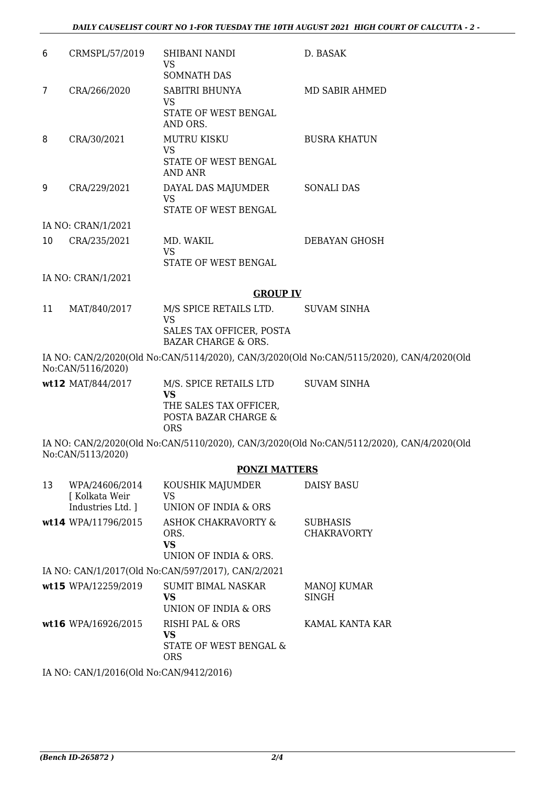|                    |                | <b>GROUP IV</b>                                             |                     |  |
|--------------------|----------------|-------------------------------------------------------------|---------------------|--|
| IA NO: CRAN/1/2021 |                |                                                             |                     |  |
|                    |                | VS<br>STATE OF WEST BENGAL                                  |                     |  |
| 10                 | CRA/235/2021   | MD. WAKIL                                                   | DEBAYAN GHOSH       |  |
| IA NO: CRAN/1/2021 |                |                                                             |                     |  |
| 9                  | CRA/229/2021   | DAYAL DAS MAJUMDER<br>VS<br>STATE OF WEST BENGAL            | <b>SONALI DAS</b>   |  |
| 8                  | CRA/30/2021    | <b>MUTRU KISKU</b><br>VS<br>STATE OF WEST BENGAL<br>AND ANR | <b>BUSRA KHATUN</b> |  |
|                    |                | VS<br>STATE OF WEST BENGAL<br>AND ORS.                      |                     |  |
| 7                  | CRA/266/2020   | <b>SOMNATH DAS</b><br>SABITRI BHUNYA                        | MD SABIR AHMED      |  |
| 6                  | CRMSPL/57/2019 | SHIBANI NANDI<br>VS                                         | D. BASAK            |  |

#### 11 MAT/840/2017 M/S SPICE RETAILS LTD. VS SALES TAX OFFICER, POSTA BAZAR CHARGE & ORS. SUVAM SINHA

IA NO: CAN/2/2020(Old No:CAN/5114/2020), CAN/3/2020(Old No:CAN/5115/2020), CAN/4/2020(Old No:CAN/5116/2020)

| $wt12$ MAT/844/2017 | M/S. SPICE RETAILS LTD<br>VS                          | SUVAM SINHA |
|---------------------|-------------------------------------------------------|-------------|
|                     | THE SALES TAX OFFICER.<br>POSTA BAZAR CHARGE &<br>ORS |             |

IA NO: CAN/2/2020(Old No:CAN/5110/2020), CAN/3/2020(Old No:CAN/5112/2020), CAN/4/2020(Old No:CAN/5113/2020)

#### **PONZI MATTERS**

| 13 | WPA/24606/2014<br>[ Kolkata Weir<br>Industries Ltd. 1 | KOUSHIK MAJUMDER<br>VS.<br>UNION OF INDIA & ORS                        | <b>DAISY BASU</b>                     |
|----|-------------------------------------------------------|------------------------------------------------------------------------|---------------------------------------|
|    | wt14 WPA/11796/2015                                   | <b>ASHOK CHAKRAVORTY &amp;</b><br>ORS.<br>VS.<br>UNION OF INDIA & ORS. | <b>SUBHASIS</b><br><b>CHAKRAVORTY</b> |
|    |                                                       | IA NO: CAN/1/2017(Old No:CAN/597/2017), CAN/2/2021                     |                                       |
|    | wt15 WPA/12259/2019                                   | <b>SUMIT BIMAL NASKAR</b><br>VS.<br>UNION OF INDIA & ORS               | <b>MANOJ KUMAR</b><br><b>SINGH</b>    |
|    | wt16 WPA/16926/2015                                   | <b>RISHI PAL &amp; ORS</b><br>VS<br>STATE OF WEST BENGAL &<br>ORS      | KAMAL KANTA KAR                       |
|    | IA NO: CAN/1/2016(Old No:CAN/9412/2016)               |                                                                        |                                       |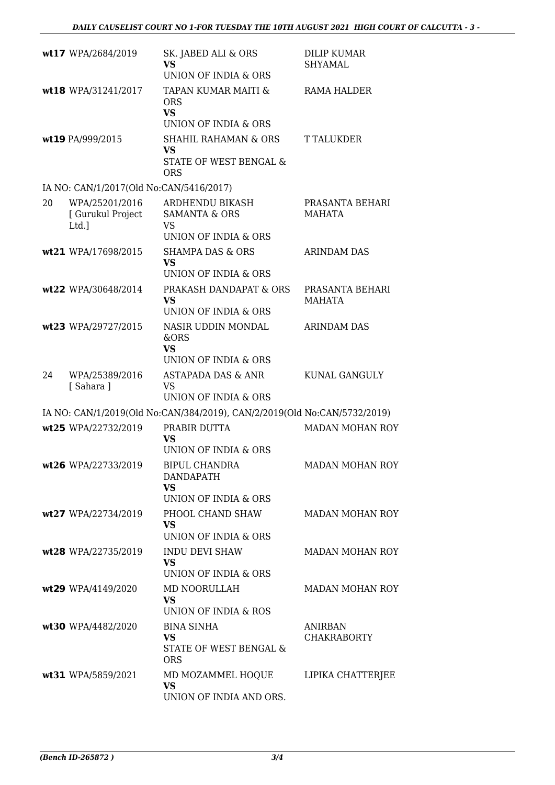|    | wt17 WPA/2684/2019                           | SK. JABED ALI & ORS<br><b>VS</b><br>UNION OF INDIA & ORS                         | DILIP KUMAR<br>SHYAMAL               |
|----|----------------------------------------------|----------------------------------------------------------------------------------|--------------------------------------|
|    | wt18 WPA/31241/2017                          | TAPAN KUMAR MAITI &<br><b>ORS</b><br><b>VS</b><br>UNION OF INDIA & ORS           | RAMA HALDER                          |
|    | wt19 PA/999/2015                             | <b>SHAHIL RAHAMAN &amp; ORS</b><br>VS<br>STATE OF WEST BENGAL &<br><b>ORS</b>    | T TALUKDER                           |
|    | IA NO: CAN/1/2017(Old No:CAN/5416/2017)      |                                                                                  |                                      |
| 20 | WPA/25201/2016<br>[ Gurukul Project<br>Ltd.] | ARDHENDU BIKASH<br><b>SAMANTA &amp; ORS</b><br><b>VS</b><br>UNION OF INDIA & ORS | PRASANTA BEHARI<br><b>MAHATA</b>     |
|    | wt21 WPA/17698/2015                          | <b>SHAMPA DAS &amp; ORS</b><br><b>VS</b><br>UNION OF INDIA & ORS                 | ARINDAM DAS                          |
|    | wt22 WPA/30648/2014                          | PRAKASH DANDAPAT & ORS<br><b>VS</b><br>UNION OF INDIA & ORS                      | PRASANTA BEHARI<br><b>MAHATA</b>     |
|    | wt23 WPA/29727/2015                          | NASIR UDDIN MONDAL<br>&ORS<br><b>VS</b><br>UNION OF INDIA & ORS                  | <b>ARINDAM DAS</b>                   |
| 24 | WPA/25389/2016<br>[Sahara]                   | ASTAPADA DAS & ANR<br><b>VS</b><br><b>UNION OF INDIA &amp; ORS</b>               | KUNAL GANGULY                        |
|    |                                              | IA NO: CAN/1/2019(Old No:CAN/384/2019), CAN/2/2019(Old No:CAN/5732/2019)         |                                      |
|    | wt25 WPA/22732/2019                          | PRABIR DUTTA<br><b>VS</b><br>UNION OF INDIA & ORS                                | <b>MADAN MOHAN ROY</b>               |
|    | wt26 WPA/22733/2019                          | <b>BIPUL CHANDRA</b><br><b>DANDAPATH</b><br><b>VS</b><br>UNION OF INDIA & ORS    | <b>MADAN MOHAN ROY</b>               |
|    | wt27 WPA/22734/2019                          | PHOOL CHAND SHAW<br><b>VS</b><br>UNION OF INDIA & ORS                            | <b>MADAN MOHAN ROY</b>               |
|    | wt28 WPA/22735/2019                          | <b>INDU DEVI SHAW</b><br><b>VS</b><br>UNION OF INDIA & ORS                       | <b>MADAN MOHAN ROY</b>               |
|    | wt29 WPA/4149/2020                           | MD NOORULLAH<br><b>VS</b><br>UNION OF INDIA & ROS                                | <b>MADAN MOHAN ROY</b>               |
|    | wt30 WPA/4482/2020                           | <b>BINA SINHA</b><br><b>VS</b><br>STATE OF WEST BENGAL &<br><b>ORS</b>           | <b>ANIRBAN</b><br><b>CHAKRABORTY</b> |
|    | wt31 WPA/5859/2021                           | MD MOZAMMEL HOQUE<br><b>VS</b><br>UNION OF INDIA AND ORS.                        | LIPIKA CHATTERJEE                    |